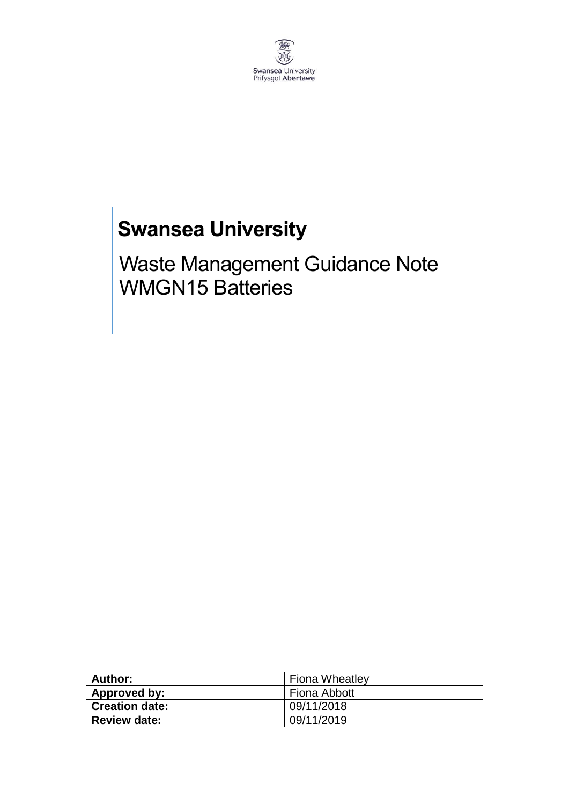

# **Swansea University**

Waste Management Guidance Note WMGN15 Batteries

| Author:               | <b>Fiona Wheatley</b> |
|-----------------------|-----------------------|
| Approved by:          | Fiona Abbott          |
| <b>Creation date:</b> | 09/11/2018            |
| <b>Review date:</b>   | 09/11/2019            |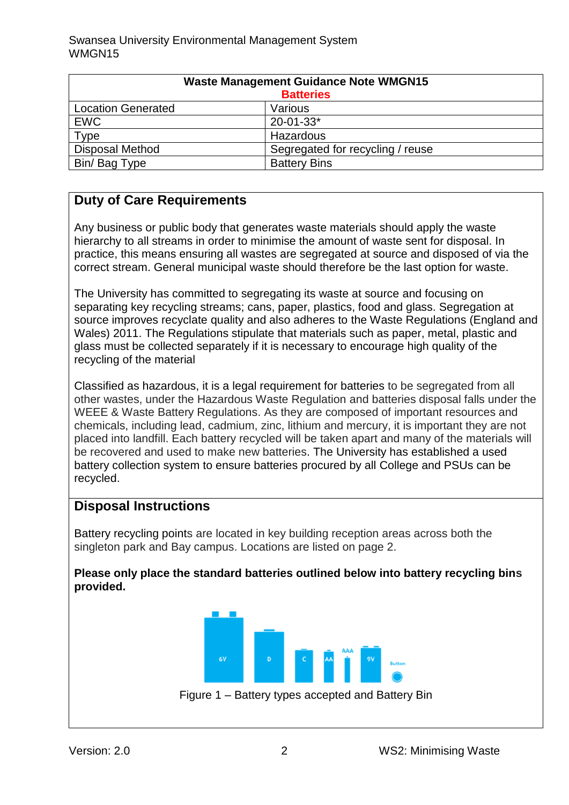| <b>Waste Management Guidance Note WMGN15</b><br><b>Batteries</b> |                                  |
|------------------------------------------------------------------|----------------------------------|
| <b>Location Generated</b>                                        | Various                          |
| <b>EWC</b>                                                       | $20 - 01 - 33*$                  |
| Type                                                             | Hazardous                        |
| <b>Disposal Method</b>                                           | Segregated for recycling / reuse |
| Bin/ Bag Type                                                    | <b>Battery Bins</b>              |

## **Duty of Care Requirements**

Any business or public body that generates waste materials should apply the waste hierarchy to all streams in order to minimise the amount of waste sent for disposal. In practice, this means ensuring all wastes are segregated at source and disposed of via the correct stream. General municipal waste should therefore be the last option for waste.

The University has committed to segregating its waste at source and focusing on separating key recycling streams; cans, paper, plastics, food and glass. Segregation at source improves recyclate quality and also adheres to the Waste Regulations (England and Wales) 2011. The Regulations stipulate that materials such as paper, metal, plastic and glass must be collected separately if it is necessary to encourage high quality of the recycling of the material

Classified as hazardous, it is a legal requirement for batteries to be segregated from all other wastes, under the Hazardous Waste Regulation and batteries disposal falls under the WEEE & Waste Battery Regulations. As they are composed of important resources and chemicals, including lead, cadmium, zinc, lithium and mercury, it is important they are not placed into landfill. Each battery recycled will be taken apart and many of the materials will be recovered and used to make new batteries. The University has established a used battery collection system to ensure batteries procured by all College and PSUs can be recycled.

## **Disposal Instructions**

Battery recycling points are located in key building reception areas across both the singleton park and Bay campus. Locations are listed on page 2.

**Please only place the standard batteries outlined below into battery recycling bins provided.** 

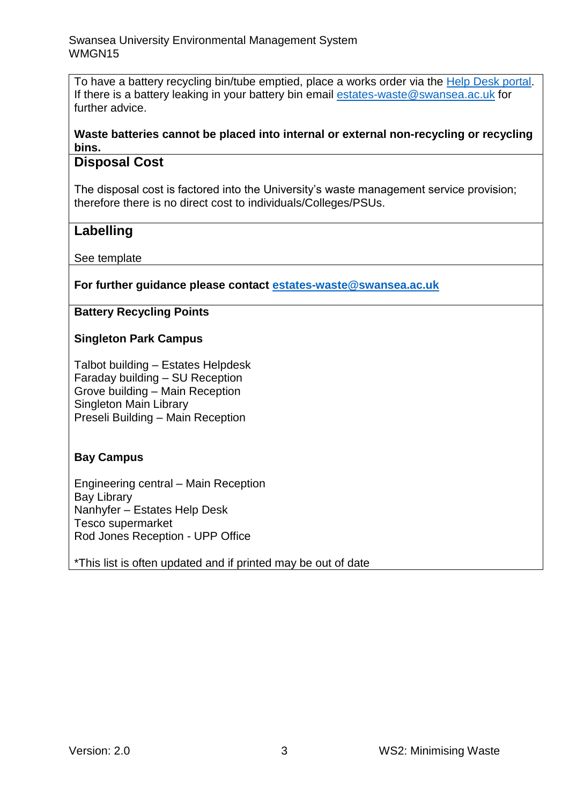To have a battery recycling bin/tube emptied, place a works order via the [Help Desk portal.](https://quemis.swan.ac.uk/) If there is a battery leaking in your battery bin email [estates-waste@swansea.ac.uk](mailto:estates-waste@swansea.ac.uk) for further advice.

#### **Waste batteries cannot be placed into internal or external non-recycling or recycling bins.**

## **Disposal Cost**

The disposal cost is factored into the University's waste management service provision; therefore there is no direct cost to individuals/Colleges/PSUs.

## **Labelling**

See template

#### **For further guidance please contact [estates-waste@swansea.ac.uk](mailto:estates-waste@swansea.ac.uk)**

#### **Battery Recycling Points**

## **Singleton Park Campus**

Talbot building – Estates Helpdesk Faraday building – SU Reception Grove building – Main Reception Singleton Main Library Preseli Building – Main Reception

## **Bay Campus**

Engineering central – Main Reception Bay Library Nanhyfer – Estates Help Desk Tesco supermarket Rod Jones Reception - UPP Office

\*This list is often updated and if printed may be out of date